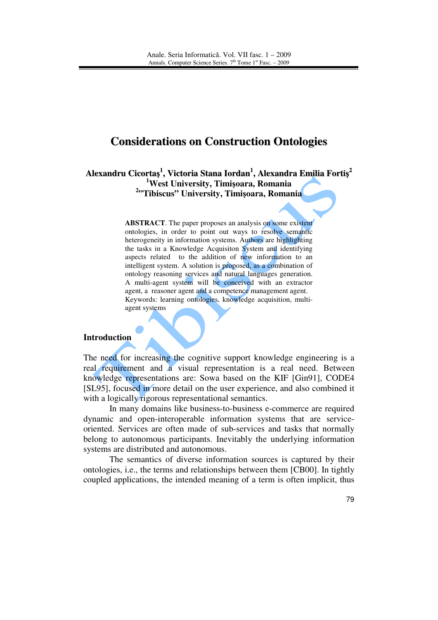# **Considerations on Construction Ontologies**

**Alexandru Cicorta**ş **1 , Victoria Stana Iordan 1 , Alexandra Emilia Forti**ş **2 <sup>1</sup>West University, Timi**ş**oara, Romania 2 "Tibiscus" University, Timi**ş**oara, Romania**

> **ABSTRACT**. The paper proposes an analysis on some existent ontologies, in order to point out ways to resolve semantic heterogeneity in information systems. Authors are highlighting the tasks in a Knowledge Acquisiton System and identifying aspects related to the addition of new information to an intelligent system. A solution is proposed, as a combination of ontology reasoning services and natural languages generation. A multi-agent system will be conceived with an extractor agent, a reasoner agent and a competence management agent. Keywords: learning ontologies, knowledge acquisition, multiagent systems

### **Introduction**

The need for increasing the cognitive support knowledge engineering is a real requirement and a visual representation is a real need. Between knowledge representations are: Sowa based on the KIF [Gin91], CODE4 [SL95], focused in more detail on the user experience, and also combined it with a logically rigorous representational semantics.

 In many domains like business-to-business e-commerce are required dynamic and open-interoperable information systems that are serviceoriented. Services are often made of sub-services and tasks that normally belong to autonomous participants. Inevitably the underlying information systems are distributed and autonomous.

The semantics of diverse information sources is captured by their ontologies, i.e., the terms and relationships between them [CB00]. In tightly coupled applications, the intended meaning of a term is often implicit, thus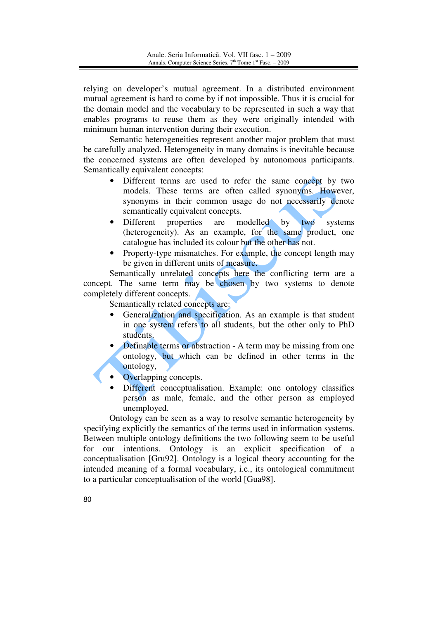relying on developer's mutual agreement. In a distributed environment mutual agreement is hard to come by if not impossible. Thus it is crucial for the domain model and the vocabulary to be represented in such a way that enables programs to reuse them as they were originally intended with minimum human intervention during their execution.

Semantic heterogeneities represent another major problem that must be carefully analyzed. Heterogeneity in many domains is inevitable because the concerned systems are often developed by autonomous participants. Semantically equivalent concepts:

- Different terms are used to refer the same concept by two models. These terms are often called synonyms. However, synonyms in their common usage do not necessarily denote semantically equivalent concepts.
- Different properties are modelled by two systems (heterogeneity). As an example, for the same product, one catalogue has included its colour but the other has not.
- Property-type mismatches. For example, the concept length may be given in different units of measure.

Semantically unrelated concepts here the conflicting term are a concept. The same term may be chosen by two systems to denote completely different concepts.

Semantically related concepts are:

- Generalization and specification. As an example is that student in one system refers to all students, but the other only to PhD students.
- Definable terms or abstraction A term may be missing from one ontology, but which can be defined in other terms in the ontology,
- Overlapping concepts.
- Different conceptualisation. Example: one ontology classifies person as male, female, and the other person as employed unemployed.

Ontology can be seen as a way to resolve semantic heterogeneity by specifying explicitly the semantics of the terms used in information systems. Between multiple ontology definitions the two following seem to be useful for our intentions. Ontology is an explicit specification of a conceptualisation [Gru92]. Ontology is a logical theory accounting for the intended meaning of a formal vocabulary, i.e., its ontological commitment to a particular conceptualisation of the world [Gua98].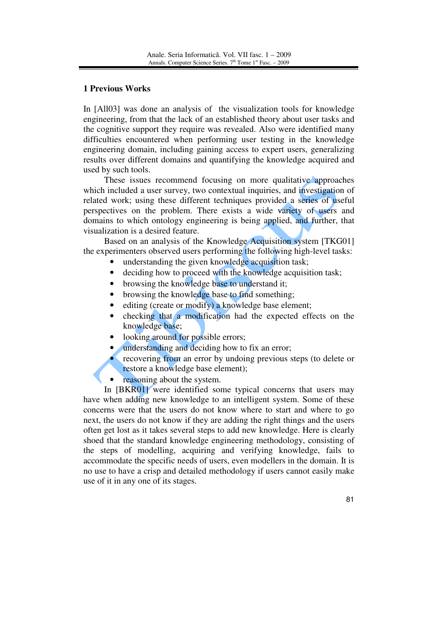## **1 Previous Works**

In [All03] was done an analysis of the visualization tools for knowledge engineering, from that the lack of an established theory about user tasks and the cognitive support they require was revealed. Also were identified many difficulties encountered when performing user testing in the knowledge engineering domain, including gaining access to expert users, generalizing results over different domains and quantifying the knowledge acquired and used by such tools.

These issues recommend focusing on more qualitative approaches which included a user survey, two contextual inquiries, and investigation of related work; using these different techniques provided a series of useful perspectives on the problem. There exists a wide variety of users and domains to which ontology engineering is being applied, and further, that visualization is a desired feature.

Based on an analysis of the Knowledge Acquisition system [TKG01] the experimenters observed users performing the following high-level tasks:

- understanding the given knowledge acquisition task;
- deciding how to proceed with the knowledge acquisition task;
- browsing the knowledge base to understand it;
- browsing the knowledge base to find something:
- editing (create or modify) a knowledge base element;
- checking that a modification had the expected effects on the knowledge base;
- looking around for possible errors;
- understanding and deciding how to fix an error;
- recovering from an error by undoing previous steps (to delete or restore a knowledge base element);
- reasoning about the system.

In [BKR01] were identified some typical concerns that users may have when adding new knowledge to an intelligent system. Some of these concerns were that the users do not know where to start and where to go next, the users do not know if they are adding the right things and the users often get lost as it takes several steps to add new knowledge. Here is clearly shoed that the standard knowledge engineering methodology, consisting of the steps of modelling, acquiring and verifying knowledge, fails to accommodate the specific needs of users, even modellers in the domain. It is no use to have a crisp and detailed methodology if users cannot easily make use of it in any one of its stages.

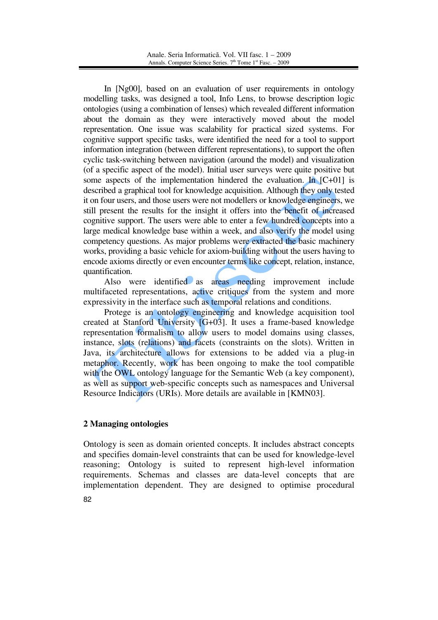In [Ng00], based on an evaluation of user requirements in ontology modelling tasks, was designed a tool, Info Lens, to browse description logic ontologies (using a combination of lenses) which revealed different information about the domain as they were interactively moved about the model representation. One issue was scalability for practical sized systems. For cognitive support specific tasks, were identified the need for a tool to support information integration (between different representations), to support the often cyclic task-switching between navigation (around the model) and visualization (of a specific aspect of the model). Initial user surveys were quite positive but some aspects of the implementation hindered the evaluation. In  $[{\rm C+01}]$  is described a graphical tool for knowledge acquisition. Although they only tested it on four users, and those users were not modellers or knowledge engineers, we still present the results for the insight it offers into the benefit of increased cognitive support. The users were able to enter a few hundred concepts into a large medical knowledge base within a week, and also verify the model using competency questions. As major problems were extracted the basic machinery works, providing a basic vehicle for axiom-building without the users having to encode axioms directly or even encounter terms like concept, relation, instance, quantification.

Also were identified as areas needing improvement include multifaceted representations, active critiques from the system and more expressivity in the interface such as temporal relations and conditions.

Protege is an ontology engineering and knowledge acquisition tool created at Stanford University [G+03]. It uses a frame-based knowledge representation formalism to allow users to model domains using classes, instance, slots (relations) and facets (constraints on the slots). Written in Java, its architecture allows for extensions to be added via a plug-in metaphor. Recently, work has been ongoing to make the tool compatible with the OWL ontology language for the Semantic Web (a key component), as well as support web-specific concepts such as namespaces and Universal Resource Indicators (URIs). More details are available in [KMN03].

# **2 Managing ontologies**

Ontology is seen as domain oriented concepts. It includes abstract concepts and specifies domain-level constraints that can be used for knowledge-level reasoning; Ontology is suited to represent high-level information requirements. Schemas and classes are data-level concepts that are implementation dependent. They are designed to optimise procedural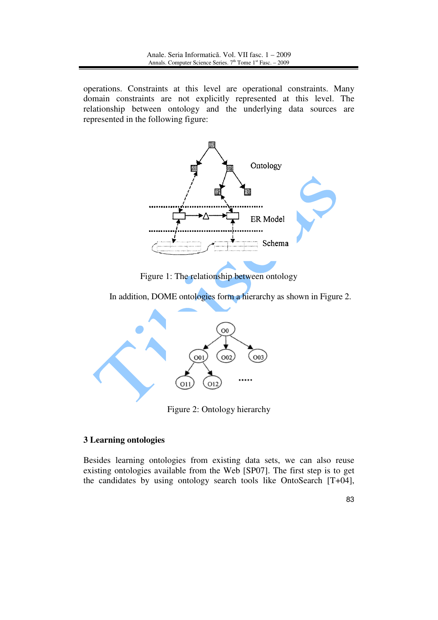operations. Constraints at this level are operational constraints. Many domain constraints are not explicitly represented at this level. The relationship between ontology and the underlying data sources are represented in the following figure:



Figure 1: The relationship between ontology

In addition, DOME ontologies form a hierarchy as shown in Figure 2.



Figure 2: Ontology hierarchy

# **3 Learning ontologies**

Besides learning ontologies from existing data sets, we can also reuse existing ontologies available from the Web [SP07]. The first step is to get the candidates by using ontology search tools like OntoSearch [T+04],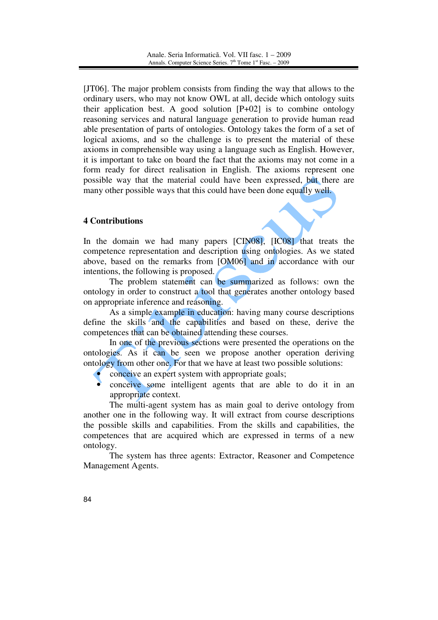[JT06]. The major problem consists from finding the way that allows to the ordinary users, who may not know OWL at all, decide which ontology suits their application best. A good solution  $[P+02]$  is to combine ontology reasoning services and natural language generation to provide human read able presentation of parts of ontologies. Ontology takes the form of a set of logical axioms, and so the challenge is to present the material of these axioms in comprehensible way using a language such as English. However, it is important to take on board the fact that the axioms may not come in a form ready for direct realisation in English. The axioms represent one possible way that the material could have been expressed, but there are many other possible ways that this could have been done equally well.

## **4 Contributions**

In the domain we had many papers [CIN08], [IC08] that treats the competence representation and description using ontologies. As we stated above, based on the remarks from [OM06] and in accordance with our intentions, the following is proposed.

The problem statement can be summarized as follows: own the ontology in order to construct a tool that generates another ontology based on appropriate inference and reasoning.

As a simple example in education: having many course descriptions define the skills and the capabilities and based on these, derive the competences that can be obtained attending these courses.

In one of the previous sections were presented the operations on the ontologies. As it can be seen we propose another operation deriving ontology from other one. For that we have at least two possible solutions:

- conceive an expert system with appropriate goals;
- conceive some intelligent agents that are able to do it in an appropriate context.

The multi-agent system has as main goal to derive ontology from another one in the following way. It will extract from course descriptions the possible skills and capabilities. From the skills and capabilities, the competences that are acquired which are expressed in terms of a new ontology.

The system has three agents: Extractor, Reasoner and Competence Management Agents.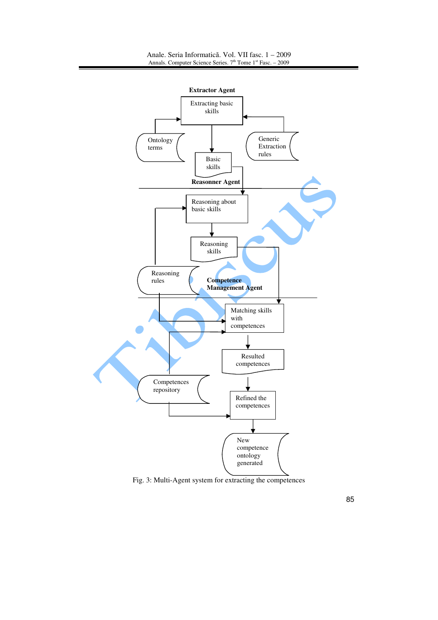

85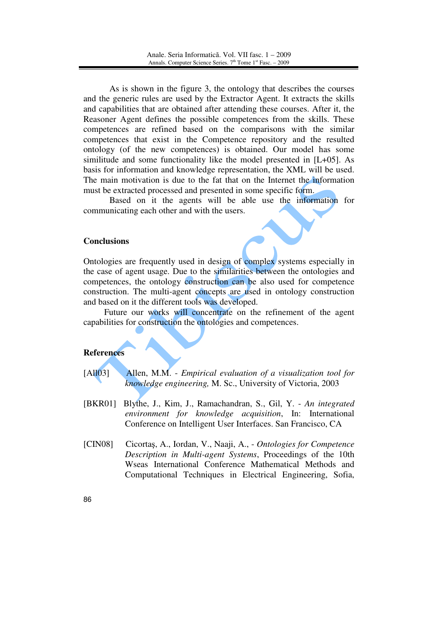As is shown in the figure 3, the ontology that describes the courses and the generic rules are used by the Extractor Agent. It extracts the skills and capabilities that are obtained after attending these courses. After it, the Reasoner Agent defines the possible competences from the skills. These competences are refined based on the comparisons with the similar competences that exist in the Competence repository and the resulted ontology (of the new competences) is obtained. Our model has some similitude and some functionality like the model presented in [L+05]. As basis for information and knowledge representation, the XML will be used. The main motivation is due to the fat that on the Internet the information must be extracted processed and presented in some specific form.

Based on it the agents will be able use the information for communicating each other and with the users.

#### **Conclusions**

Ontologies are frequently used in design of complex systems especially in the case of agent usage. Due to the similarities between the ontologies and competences, the ontology construction can be also used for competence construction. The multi-agent concepts are used in ontology construction and based on it the different tools was developed.

Future our works will concentrate on the refinement of the agent capabilities for construction the ontologies and competences.

#### **References**

- [All03] Allen, M.M. *Empirical evaluation of a visualization tool for knowledge engineering,* M. Sc., University of Victoria, 2003
- [BKR01] Blythe, J., Kim, J., Ramachandran, S., Gil, Y. *An integrated environment for knowledge acquisition*, In: International Conference on Intelligent User Interfaces. San Francisco, CA
- [CIN08] Cicortaş, A., Iordan, V., Naaji, A., *Ontologies for Competence Description in Multi-agent Systems*, Proceedings of the 10th Wseas International Conference Mathematical Methods and Computational Techniques in Electrical Engineering, Sofia,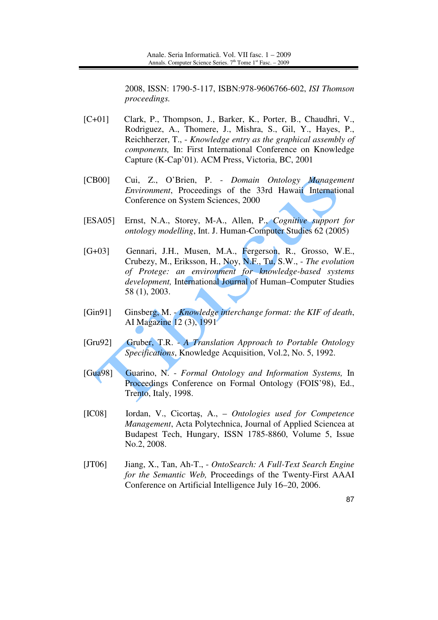2008, ISSN: 1790-5-117, ISBN:978-9606766-602, *ISI Thomson proceedings.* 

- [C+01] Clark, P., Thompson, J., Barker, K., Porter, B., Chaudhri, V., Rodriguez, A., Thomere, J., Mishra, S., Gil, Y., Hayes, P., Reichherzer, T., - *Knowledge entry as the graphical assembly of components,* In: First International Conference on Knowledge Capture (K-Cap'01). ACM Press, Victoria, BC, 2001
- [CB00] Cui, Z., O'Brien, P. *Domain Ontology Management Environment*, Proceedings of the 33rd Hawaii International Conference on System Sciences, 2000
- [ESA05] Ernst, N.A., Storey, M-A., Allen, P., *Cognitive support for ontology modelling*, Int. J. Human-Computer Studies 62 (2005)
- [G+03] Gennari, J.H., Musen, M.A., Fergerson, R., Grosso, W.E., Crubezy, M., Eriksson, H., Noy, N.F., Tu, S.W., - *The evolution of Protege: an environment for knowledge-based systems development,* International Journal of Human–Computer Studies 58 (1), 2003.
- [Gin91] Ginsberg, M. *Knowledge interchange format: the KIF of death*, AI Magazine 12 (3), 1991
- [Gru92] Gruber, T.R. *A Translation Approach to Portable Ontology Specifications*, Knowledge Acquisition, Vol.2, No. 5, 1992.
- [Gua98] Guarino, N. *Formal Ontology and Information Systems,* In Proceedings Conference on Formal Ontology (FOIS'98), Ed., Trento, Italy, 1998.
- [IC08] Iordan, V., Cicortaş, A., *Ontologies used for Competence Management*, Acta Polytechnica, Journal of Applied Sciencea at Budapest Tech, Hungary, ISSN 1785-8860, Volume 5, Issue No.2, 2008.
- [JT06] Jiang, X., Tan, Ah-T., *OntoSearch: A Full-Text Search Engine for the Semantic Web,* Proceedings of the Twenty-First AAAI Conference on Artificial Intelligence July 16–20, 2006.